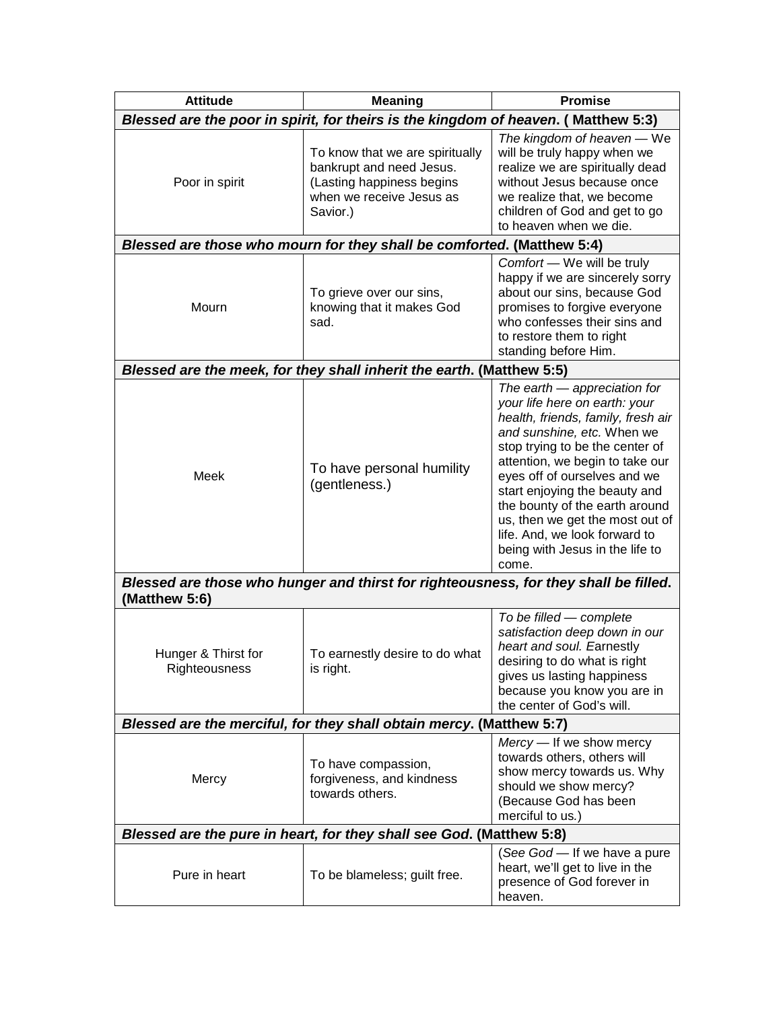| <b>Attitude</b>                                                                                       | <b>Meaning</b>                                                                                                                   | <b>Promise</b>                                                                                                                                                                                                                                                                                                                                                                                                             |  |
|-------------------------------------------------------------------------------------------------------|----------------------------------------------------------------------------------------------------------------------------------|----------------------------------------------------------------------------------------------------------------------------------------------------------------------------------------------------------------------------------------------------------------------------------------------------------------------------------------------------------------------------------------------------------------------------|--|
| Blessed are the poor in spirit, for theirs is the kingdom of heaven. ( Matthew 5:3)                   |                                                                                                                                  |                                                                                                                                                                                                                                                                                                                                                                                                                            |  |
| Poor in spirit                                                                                        | To know that we are spiritually<br>bankrupt and need Jesus.<br>(Lasting happiness begins<br>when we receive Jesus as<br>Savior.) | The kingdom of heaven - We<br>will be truly happy when we<br>realize we are spiritually dead<br>without Jesus because once<br>we realize that, we become<br>children of God and get to go<br>to heaven when we die.                                                                                                                                                                                                        |  |
| Blessed are those who mourn for they shall be comforted. (Matthew 5:4)                                |                                                                                                                                  |                                                                                                                                                                                                                                                                                                                                                                                                                            |  |
| Mourn                                                                                                 | To grieve over our sins,<br>knowing that it makes God<br>sad.                                                                    | Comfort - We will be truly<br>happy if we are sincerely sorry<br>about our sins, because God<br>promises to forgive everyone<br>who confesses their sins and<br>to restore them to right<br>standing before Him.                                                                                                                                                                                                           |  |
| Blessed are the meek, for they shall inherit the earth. (Matthew 5:5)                                 |                                                                                                                                  |                                                                                                                                                                                                                                                                                                                                                                                                                            |  |
| Meek                                                                                                  | To have personal humility<br>(gentleness.)                                                                                       | The earth - appreciation for<br>your life here on earth: your<br>health, friends, family, fresh air<br>and sunshine, etc. When we<br>stop trying to be the center of<br>attention, we begin to take our<br>eyes off of ourselves and we<br>start enjoying the beauty and<br>the bounty of the earth around<br>us, then we get the most out of<br>life. And, we look forward to<br>being with Jesus in the life to<br>come. |  |
| Blessed are those who hunger and thirst for righteousness, for they shall be filled.<br>(Matthew 5:6) |                                                                                                                                  |                                                                                                                                                                                                                                                                                                                                                                                                                            |  |
| Hunger & Thirst for<br>Righteousness                                                                  | To earnestly desire to do what<br>is right.                                                                                      | To be filled - complete<br>satisfaction deep down in our<br>heart and soul. Earnestly<br>desiring to do what is right<br>gives us lasting happiness<br>because you know you are in<br>the center of God's will.                                                                                                                                                                                                            |  |
| Blessed are the merciful, for they shall obtain mercy. (Matthew 5:7)                                  |                                                                                                                                  |                                                                                                                                                                                                                                                                                                                                                                                                                            |  |
| Mercy                                                                                                 | To have compassion,<br>forgiveness, and kindness<br>towards others.                                                              | Mercy - If we show mercy<br>towards others, others will<br>show mercy towards us. Why<br>should we show mercy?<br>(Because God has been<br>merciful to us.)                                                                                                                                                                                                                                                                |  |
| Blessed are the pure in heart, for they shall see God. (Matthew 5:8)                                  |                                                                                                                                  |                                                                                                                                                                                                                                                                                                                                                                                                                            |  |
| Pure in heart                                                                                         | To be blameless; guilt free.                                                                                                     | (See God - If we have a pure<br>heart, we'll get to live in the<br>presence of God forever in<br>heaven.                                                                                                                                                                                                                                                                                                                   |  |